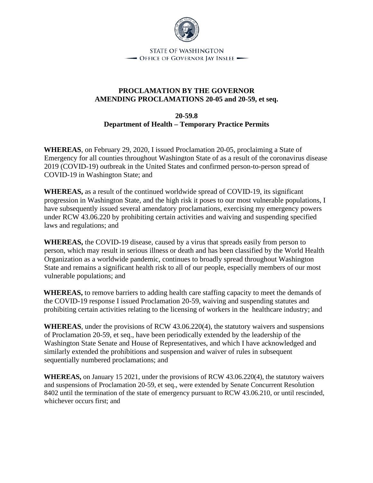

**STATE OF WASHINGTON** - Office of Governor Jay Inslee -

## **PROCLAMATION BY THE GOVERNOR AMENDING PROCLAMATIONS 20-05 and 20-59, et seq.**

**20-59.8 Department of Health – Temporary Practice Permits**

**WHEREAS**, on February 29, 2020, I issued Proclamation 20-05, proclaiming a State of Emergency for all counties throughout Washington State of as a result of the coronavirus disease 2019 (COVID-19) outbreak in the United States and confirmed person-to-person spread of COVID-19 in Washington State; and

**WHEREAS,** as a result of the continued worldwide spread of COVID-19, its significant progression in Washington State, and the high risk it poses to our most vulnerable populations, I have subsequently issued several amendatory proclamations, exercising my emergency powers under RCW 43.06.220 by prohibiting certain activities and waiving and suspending specified laws and regulations; and

**WHEREAS,** the COVID-19 disease, caused by a virus that spreads easily from person to person, which may result in serious illness or death and has been classified by the World Health Organization as a worldwide pandemic, continues to broadly spread throughout Washington State and remains a significant health risk to all of our people, especially members of our most vulnerable populations; and

**WHEREAS,** to remove barriers to adding health care staffing capacity to meet the demands of the COVID-19 response I issued Proclamation 20-59, waiving and suspending statutes and prohibiting certain activities relating to the licensing of workers in the healthcare industry; and

**WHEREAS**, under the provisions of RCW 43.06.220(4), the statutory waivers and suspensions of Proclamation 20-59, et seq., have been periodically extended by the leadership of the Washington State Senate and House of Representatives, and which I have acknowledged and similarly extended the prohibitions and suspension and waiver of rules in subsequent sequentially numbered proclamations; and

**WHEREAS,** on January 15 2021, under the provisions of RCW 43.06.220(4), the statutory waivers and suspensions of Proclamation 20-59, et seq., were extended by Senate Concurrent Resolution 8402 until the termination of the state of emergency pursuant to RCW 43.06.210, or until rescinded, whichever occurs first; and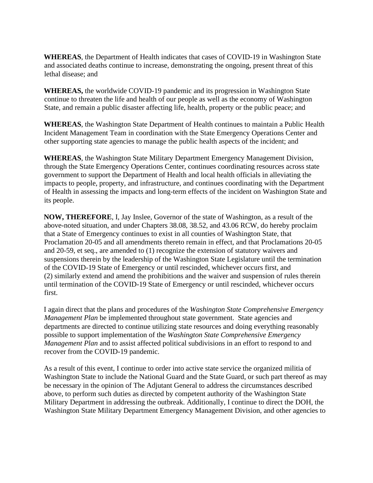**WHEREAS**, the Department of Health indicates that cases of COVID-19 in Washington State and associated deaths continue to increase, demonstrating the ongoing, present threat of this lethal disease; and

**WHEREAS,** the worldwide COVID-19 pandemic and its progression in Washington State continue to threaten the life and health of our people as well as the economy of Washington State, and remain a public disaster affecting life, health, property or the public peace; and

**WHEREAS**, the Washington State Department of Health continues to maintain a Public Health Incident Management Team in coordination with the State Emergency Operations Center and other supporting state agencies to manage the public health aspects of the incident; and

**WHEREAS**, the Washington State Military Department Emergency Management Division, through the State Emergency Operations Center, continues coordinating resources across state government to support the Department of Health and local health officials in alleviating the impacts to people, property, and infrastructure, and continues coordinating with the Department of Health in assessing the impacts and long-term effects of the incident on Washington State and its people.

**NOW, THEREFORE**, I, Jay Inslee, Governor of the state of Washington, as a result of the above-noted situation, and under Chapters 38.08, 38.52, and 43.06 RCW, do hereby proclaim that a State of Emergency continues to exist in all counties of Washington State, that Proclamation 20-05 and all amendments thereto remain in effect, and that Proclamations 20-05 and 20-59, et seq., are amended to (1) recognize the extension of statutory waivers and suspensions therein by the leadership of the Washington State Legislature until the termination of the COVID-19 State of Emergency or until rescinded, whichever occurs first, and (2) similarly extend and amend the prohibitions and the waiver and suspension of rules therein until termination of the COVID-19 State of Emergency or until rescinded, whichever occurs first.

I again direct that the plans and procedures of the *Washington State Comprehensive Emergency Management Plan* be implemented throughout state government. State agencies and departments are directed to continue utilizing state resources and doing everything reasonably possible to support implementation of the *Washington State Comprehensive Emergency Management Plan* and to assist affected political subdivisions in an effort to respond to and recover from the COVID-19 pandemic.

As a result of this event, I continue to order into active state service the organized militia of Washington State to include the National Guard and the State Guard, or such part thereof as may be necessary in the opinion of The Adjutant General to address the circumstances described above, to perform such duties as directed by competent authority of the Washington State Military Department in addressing the outbreak. Additionally, I continue to direct the DOH, the Washington State Military Department Emergency Management Division, and other agencies to